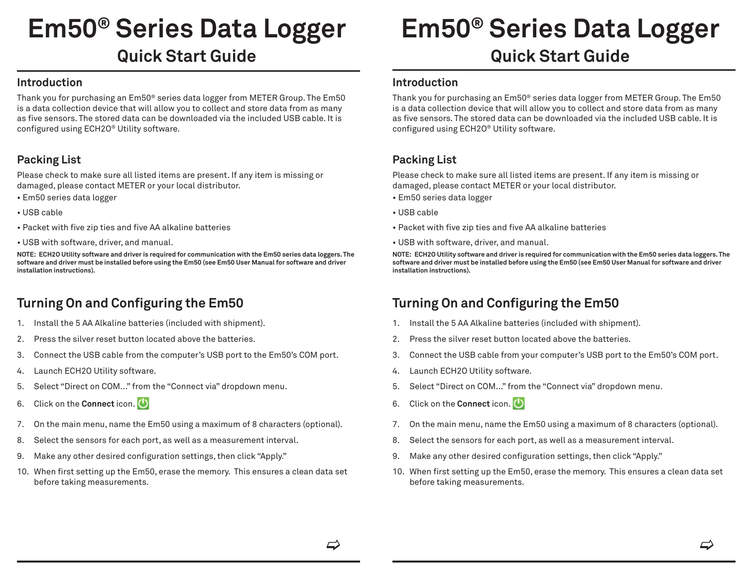# **Em50® Series Data Logger Quick Start Guide**

## **Introduction**

Thank you for purchasing an Em50® series data logger from METER Group. The Em50 is a data collection device that will allow you to collect and store data from as many as five sensors. The stored data can be downloaded via the included USB cable. It is configured using ECH2O® Utility software.

## **Packing List**

Please check to make sure all listed items are present. If any item is missing or damaged, please contact METER or your local distributor.

- Em50 series data logger
- USB cable
- Packet with five zip ties and five AA alkaline batteries
- USB with software, driver, and manual.

**NOTE: ECH2O Utility software and driver is required for communication with the Em50 series data loggers. The software and driver must be installed before using the Em50 (see Em50 User Manual for software and driver installation instructions).**

# **Turning On and Configuring the Em50**

- 1. Install the 5 AA Alkaline batteries (included with shipment).
- 2. Press the silver reset button located above the batteries.
- 3. Connect the USB cable from the computer's USB port to the Em50's COM port.
- 4. Launch ECH2O Utility software.
- 5. Select "Direct on COM..." from the "Connect via" dropdown menu.
- 6. Click on the **Connect** icon.
- 7. On the main menu, name the Em50 using a maximum of 8 characters (optional).
- 8. Select the sensors for each port, as well as a measurement interval.
- 9. Make any other desired configuration settings, then click "Apply."
- 10. When first setting up the Em50, erase the memory. This ensures a clean data set before taking measurements.